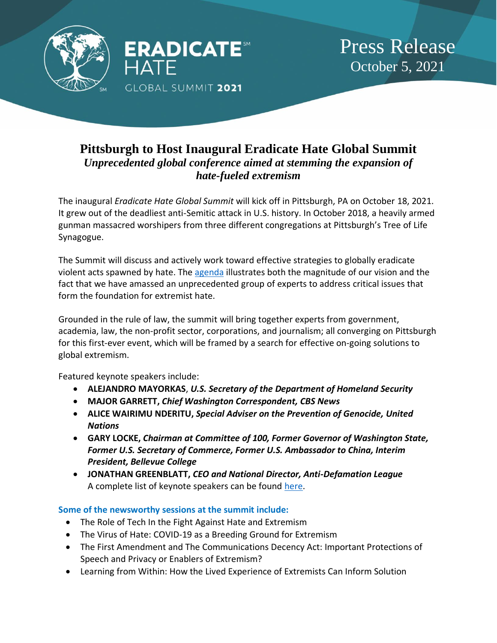

## **Pittsburgh to Host Inaugural Eradicate Hate Global Summit** *Unprecedented global conference aimed at stemming the expansion of hate-fueled extremism*

The inaugural *Eradicate Hate Global Summit* will kick off in Pittsburgh, PA on October 18, 2021. It grew out of the deadliest anti-Semitic attack in U.S. history. In October 2018, a heavily armed gunman massacred worshipers from three different congregations at Pittsburgh's Tree of Life Synagogue.

The Summit will discuss and actively work toward effective strategies to globally eradicate violent acts spawned by hate. The [agenda](http://agenda.eradicatehatesummit.org/) illustrates both the magnitude of our vision and the fact that we have amassed an unprecedented group of experts to address critical issues that form the foundation for extremist hate.

Grounded in the rule of law, the summit will bring together experts from government, academia, law, the non-profit sector, corporations, and journalism; all converging on Pittsburgh for this first-ever event, which will be framed by a search for effective on-going solutions to global extremism.

Featured keynote speakers include:

- **ALEJANDRO MAYORKAS**, *U.S. Secretary of the Department of Homeland Security*
- **MAJOR GARRETT,** *Chief Washington Correspondent, CBS News*
- **ALICE WAIRIMU NDERITU,** *Special Adviser on the Prevention of Genocide, United Nations*
- **GARY LOCKE,** *Chairman at Committee of 100, Former Governor of Washington State, Former U.S. Secretary of Commerce, Former U.S. Ambassador to China, Interim President, Bellevue College*
- **JONATHAN GREENBLATT,** *CEO and National Director, Anti-Defamation League* A complete list of keynote speakers can be found [here.](https://eradicatehatesummit.org/home/2021-summit/dignitaries-speakers/keynote-speakers/)

## **Some of the newsworthy sessions at the summit include:**

- The Role of Tech In the Fight Against Hate and Extremism
- The Virus of Hate: COVID-19 as a Breeding Ground for Extremism
- The First Amendment and The Communications Decency Act: Important Protections of Speech and Privacy or Enablers of Extremism?
- Learning from Within: How the Lived Experience of Extremists Can Inform Solution